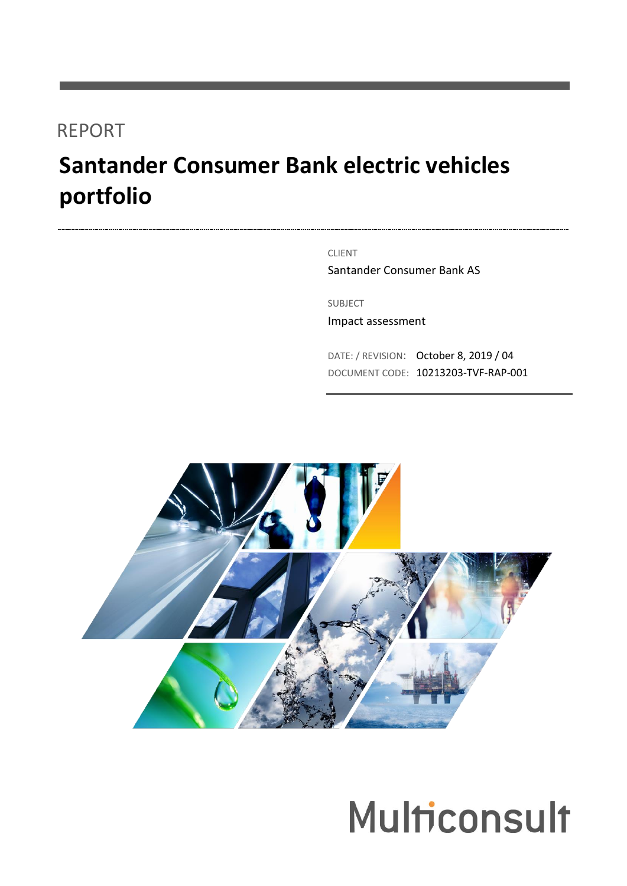## REPORT

# **Santander Consumer Bank electric vehicles portfolio**

CLIENT

Santander Consumer Bank AS

SUBJECT

Impact assessment

DATE: / REVISION: October 8, 2019 / 04 DOCUMENT CODE: 10213203-TVF-RAP-001



# **Multiconsult**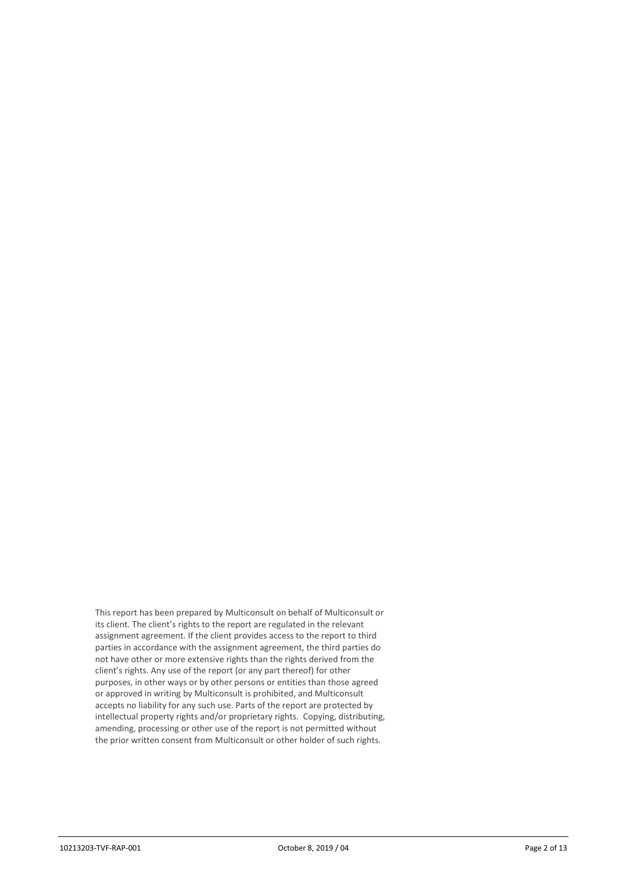This report has been prepared by Multiconsult on behalf of Multiconsult or its client. The client's rights to the report are regulated in the relevant assignment agreement. If the client provides access to the report to third parties in accordance with the assignment agreement, the third parties do not have other or more extensive rights than the rights derived from the client's rights. Any use of the report (or any part thereof) for other purposes, in other ways or by other persons or entities than those agreed or approved in writing by Multiconsult is prohibited, and Multiconsult accepts no liability for any such use. Parts of the report are protected by intellectual property rights and/or proprietary rights. Copying, distributing, amending, processing or other use of the report is not permitted without the prior written consent from Multiconsult or other holder of such rights.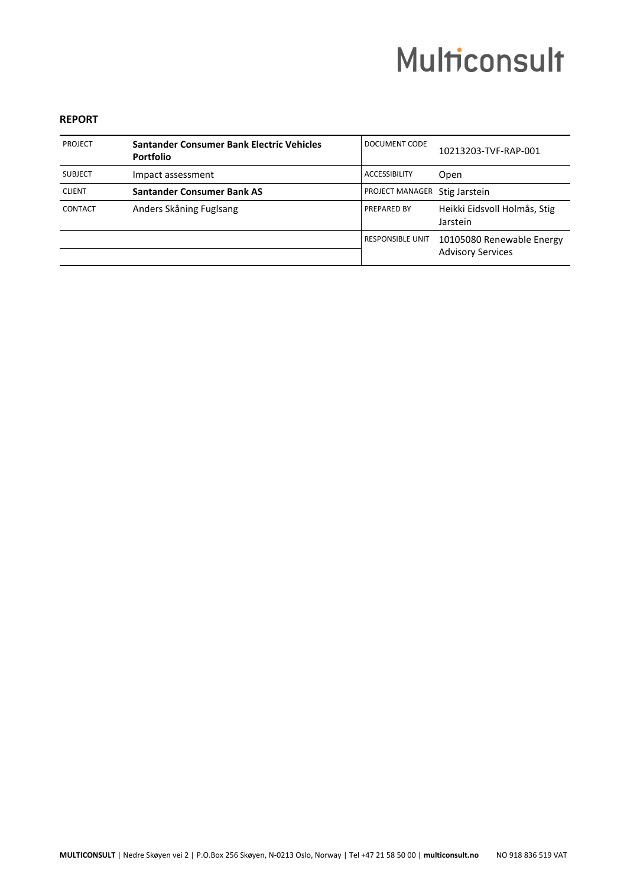# **Multiconsult**

#### **REPORT**

| <b>PROJECT</b> | Santander Consumer Bank Electric Vehicles<br><b>Portfolio</b> | DOCUMENT CODE           | 10213203-TVF-RAP-001                                  |
|----------------|---------------------------------------------------------------|-------------------------|-------------------------------------------------------|
| <b>SUBJECT</b> | Impact assessment                                             | <b>ACCESSIBILITY</b>    | Open                                                  |
| <b>CLIENT</b>  | <b>Santander Consumer Bank AS</b>                             | PROJECT MANAGER         | Stig Jarstein                                         |
| CONTACT        | Anders Skåning Fuglsang                                       | PREPARED BY             | Heikki Eidsvoll Holmås, Stig<br>Jarstein              |
|                |                                                               | <b>RESPONSIBLE UNIT</b> | 10105080 Renewable Energy<br><b>Advisory Services</b> |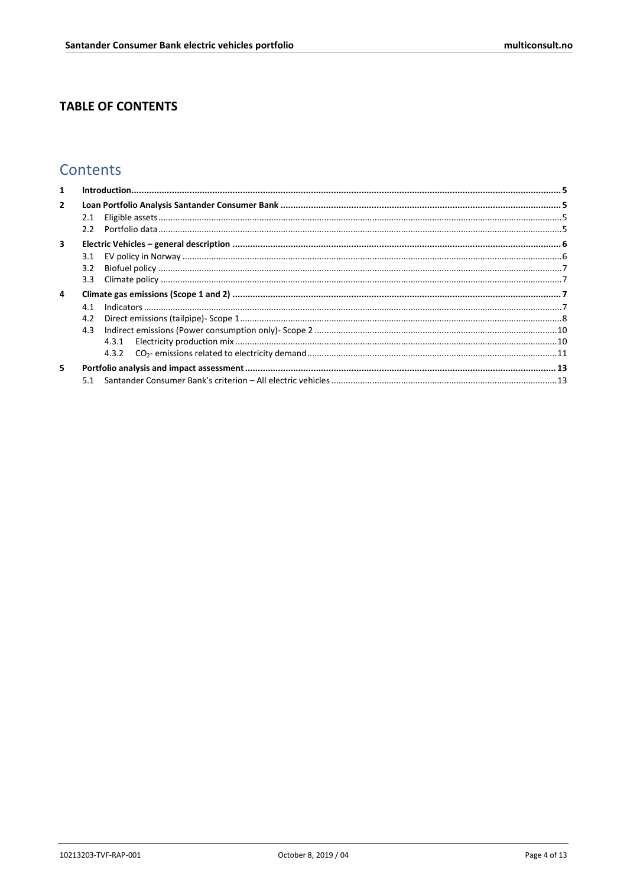### **TABLE OF CONTENTS**

### Contents

| $\mathbf{1}$   |                                |  |
|----------------|--------------------------------|--|
| $\overline{2}$ |                                |  |
|                | 2.1<br>2.2                     |  |
| 3              |                                |  |
|                | 3.1<br>3.2<br>3.3 <sub>2</sub> |  |
| 4              | 4.1<br>4.2<br>4.3              |  |
| 5.             |                                |  |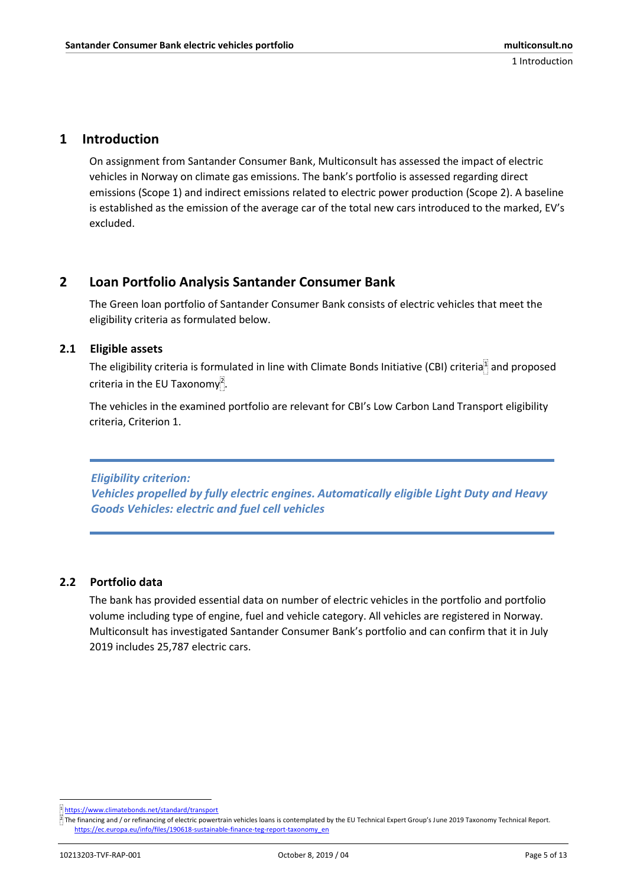#### <span id="page-4-0"></span>**1 Introduction**

On assignment from Santander Consumer Bank, Multiconsult has assessed the impact of electric vehicles in Norway on climate gas emissions. The bank's portfolio is assessed regarding direct emissions (Scope 1) and indirect emissions related to electric power production (Scope 2). A baseline is established as the emission of the average car of the total new cars introduced to the marked, EV's excluded.

#### <span id="page-4-1"></span>**2 Loan Portfolio Analysis Santander Consumer Bank**

The Green loan portfolio of Santander Consumer Bank consists of electric vehicles that meet the eligibility criteria as formulated below.

#### <span id="page-4-2"></span>**2.1 Eligible assets**

The eligibility criteria is formulated in line with Climate Bonds Initiative (CBI) criteria<sup>1</sup> and proposed criteria in the EU Taxonomy<sup>2</sup>.

The vehicles in the examined portfolio are relevant for CBI's Low Carbon Land Transport eligibility criteria, Criterion 1.

*Eligibility criterion: Vehicles propelled by fully electric engines. Automatically eligible Light Duty and Heavy Goods Vehicles: electric and fuel cell vehicles*

#### <span id="page-4-3"></span>**2.2 Portfolio data**

The bank has provided essential data on number of electric vehicles in the portfolio and portfolio volume including type of engine, fuel and vehicle category. All vehicles are registered in Norway. Multiconsult has investigated Santander Consumer Bank's portfolio and can confirm that it in July 2019 includes 25,787 electric cars.

**<sup>.</sup>** <sup>1</sup> <https://www.climatebonds.net/standard/transport>

 $\frac{3}{2}$  The financing and / or refinancing of electric powertrain vehicles loans is contemplated by the EU Technical Expert Group's June 2019 Taxonomy Technical Report. [https://ec.europa.eu/info/files/190618-sustainable-finance-teg-report-taxonomy\\_en](https://ec.europa.eu/info/files/190618-sustainable-finance-teg-report-taxonomy_en)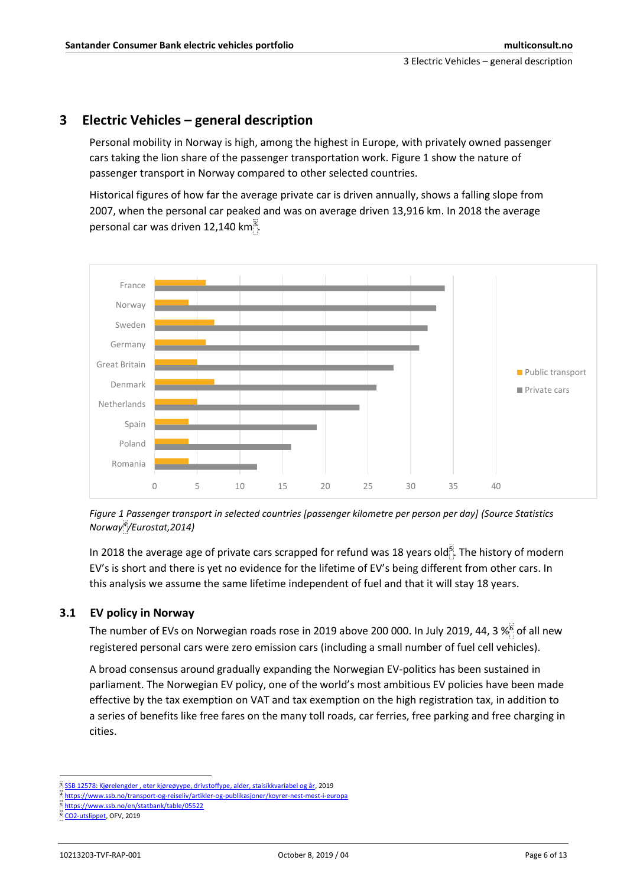#### <span id="page-5-0"></span>**3 Electric Vehicles – general description**

Personal mobility in Norway is high, among the highest in Europe, with privately owned passenger cars taking the lion share of the passenger transportation work. [Figure 1](#page-5-2) show the nature of passenger transport in Norway compared to other selected countries.

Historical figures of how far the average private car is driven annually, shows a falling slope from 2007, when the personal car peaked and was on average driven 13,916 km. In 2018 the average personal car was driven 12,140 km $^3$ .



<span id="page-5-2"></span>

In 2018 the average age of private cars scrapped for refund was 18 years old $5$ . The history of modern EV's is short and there is yet no evidence for the lifetime of EV's being different from other cars. In this analysis we assume the same lifetime independent of fuel and that it will stay 18 years.

#### <span id="page-5-1"></span>**3.1 EV policy in Norway**

The number of EVs on Norwegian roads rose in 2019 above 200 000. In July 2019, 44, 3 %<sup>6</sup> of all new registered personal cars were zero emission cars (including a small number of fuel cell vehicles).

A broad consensus around gradually expanding the Norwegian EV-politics has been sustained in parliament. The Norwegian EV policy, one of the world's most ambitious EV policies have been made effective by the tax exemption on VAT and tax exemption on the high registration tax, in addition to a series of benefits like free fares on the many toll roads, car ferries, free parking and free charging in cities.

1

<sup>3</sup> [SSB 12578: Kjørelengder , eter kjøreøyype, drivstoffype, alder, staisikkvariabel og år,](https://www.ssb.no/statbank/table/12578/tableViewLayout1/) 2019

<https://www.ssb.no/transport-og-reiseliv/artikler-og-publikasjoner/koyrer-nest-mest-i-europa>

<sup>5</sup> <https://www.ssb.no/en/statbank/table/05522>

<sup>6</sup> [CO2-utslippet,](https://ofv.no/CO2-utslippet/co2-utslippet) OFV, 2019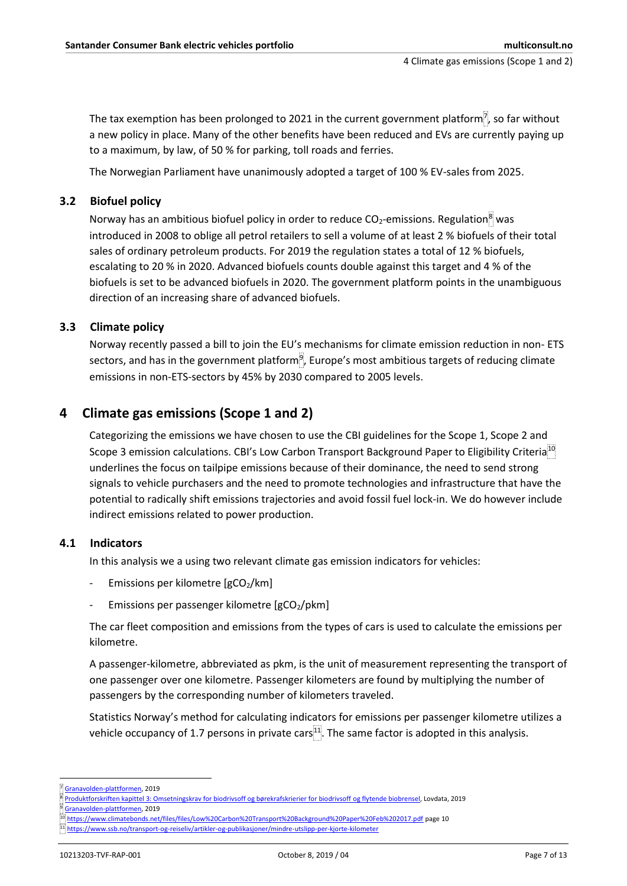The tax exemption has been prolonged to 2021 in the current government platform $\vec{v}$ , so far without a new policy in place. Many of the other benefits have been reduced and EVs are currently paying up to a maximum, by law, of 50 % for parking, toll roads and ferries.

The Norwegian Parliament have unanimously adopted a target of 100 % EV-sales from 2025.

#### <span id="page-6-0"></span>**3.2 Biofuel policy**

Norway has an ambitious biofuel policy in order to reduce  $CO_2$ -emissions. Regulation<sup>8</sup> was introduced in 2008 to oblige all petrol retailers to sell a volume of at least 2 % biofuels of their total sales of ordinary petroleum products. For 2019 the regulation states a total of 12 % biofuels, escalating to 20 % in 2020. Advanced biofuels counts double against this target and 4 % of the biofuels is set to be advanced biofuels in 2020. The government platform points in the unambiguous direction of an increasing share of advanced biofuels.

#### <span id="page-6-1"></span>**3.3 Climate policy**

Norway recently passed a bill to join the EU's mechanisms for climate emission reduction in non- ETS sectors, and has in the government platform<sup>9</sup>, Europe's most ambitious targets of reducing climate emissions in non-ETS-sectors by 45% by 2030 compared to 2005 levels.

#### <span id="page-6-2"></span>**4 Climate gas emissions (Scope 1 and 2)**

Categorizing the emissions we have chosen to use the CBI guidelines for the Scope 1, Scope 2 and Scope 3 emission calculations. CBI's Low Carbon Transport Background Paper to Eligibility Criteria<sup>10</sup> underlines the focus on tailpipe emissions because of their dominance, the need to send strong signals to vehicle purchasers and the need to promote technologies and infrastructure that have the potential to radically shift emissions trajectories and avoid fossil fuel lock-in. We do however include indirect emissions related to power production.

#### <span id="page-6-3"></span>**4.1 Indicators**

In this analysis we a using two relevant climate gas emission indicators for vehicles:

- Emissions per kilometre [gCO2/km]
- Emissions per passenger kilometre  $[gCO<sub>2</sub>/pkm]$

The car fleet composition and emissions from the types of cars is used to calculate the emissions per kilometre.

A passenger-kilometre, abbreviated as pkm, is the unit of measurement representing the transport of one passenger over one kilometre. Passenger kilometers are found by multiplying the number of passengers by the corresponding number of kilometers traveled.

Statistics Norway's method for calculating indicators for emissions per passenger kilometre utilizes a vehicle occupancy of 1.7 persons in private cars $11$ . The same factor is adopted in this analysis.

1

<sup>7</sup> [Granavolden-plattformen,](https://www.regjeringen.no/no/dokumenter/politisk-plattform/id2626036/) 2019

<sup>8</sup> [Produktforskriften kapittel 3: Omsetningskrav for biodrivsoff og børekrafskrierier for biodrivsoff](https://lovdata.no/dokument/SF/forskrift/2004-06-01-922/KAPITTEL_4#KAPITTEL_4) og flytende biobrensel, Lovdata, 2019

<sup>9</sup> [Granavolden-plattformen,](https://www.regjeringen.no/no/dokumenter/politisk-plattform/id2626036/) 2019

<sup>10</sup> <https://www.climatebonds.net/files/files/Low%20Carbon%20Transport%20Background%20Paper%20Feb%202017.pdf> page 10

<https://www.ssb.no/transport-og-reiseliv/artikler-og-publikasjoner/mindre-utslipp-per-kjorte-kilometer>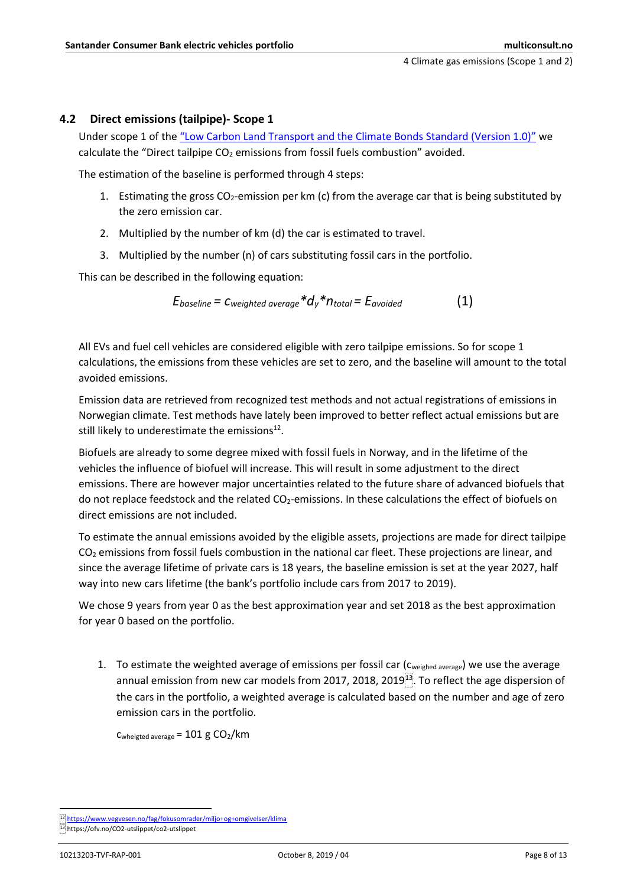#### <span id="page-7-0"></span>**4.2 Direct emissions (tailpipe)- Scope 1**

Under scope 1 of the "Low Carbon Land Transport [and the Climate Bonds Standard](https://www.climatebonds.net/files/files/Low%20Carbon%20Transport%20Background%20Paper%20Feb%202017.pdf) (Version 1.0)" we calculate the "Direct tailpipe  $CO<sub>2</sub>$  emissions from fossil fuels combustion" avoided.

The estimation of the baseline is performed through 4 steps:

- 1. Estimating the gross  $CO<sub>2</sub>$ -emission per km (c) from the average car that is being substituted by the zero emission car.
- 2. Multiplied by the number of km (d) the car is estimated to travel.
- 3. Multiplied by the number (n) of cars substituting fossil cars in the portfolio.

This can be described in the following equation:

$$
E_{baseline} = C_{weighted \ average} * d_y * n_{total} = E_{avoided}
$$
 (1)

All EVs and fuel cell vehicles are considered eligible with zero tailpipe emissions. So for scope 1 calculations, the emissions from these vehicles are set to zero, and the baseline will amount to the total avoided emissions.

Emission data are retrieved from recognized test methods and not actual registrations of emissions in Norwegian climate. Test methods have lately been improved to better reflect actual emissions but are still likely to underestimate the emissions $^{12}$ .

Biofuels are already to some degree mixed with fossil fuels in Norway, and in the lifetime of the vehicles the influence of biofuel will increase. This will result in some adjustment to the direct emissions. There are however major uncertainties related to the future share of advanced biofuels that do not replace feedstock and the related CO<sub>2</sub>-emissions. In these calculations the effect of biofuels on direct emissions are not included.

To estimate the annual emissions avoided by the eligible assets, projections are made for direct tailpipe CO<sub>2</sub> emissions from fossil fuels combustion in the national car fleet. These projections are linear, and since the average lifetime of private cars is 18 years, the baseline emission is set at the year 2027, half way into new cars lifetime (the bank's portfolio include cars from 2017 to 2019).

We chose 9 years from year 0 as the best approximation year and set 2018 as the best approximation for year 0 based on the portfolio.

1. To estimate the weighted average of emissions per fossil car ( $C_{weighted\ average}$ ) we use the average annual emission from new car models from 2017, 2018, 2019 $^{13}$ . To reflect the age dispersion of the cars in the portfolio, a weighted average is calculated based on the number and age of zero emission cars in the portfolio.

Cwheigted average =  $101$  g  $CO<sub>2</sub>/km$ 

**.** 

<sup>12</sup> <https://www.vegvesen.no/fag/fokusomrader/miljo+og+omgivelser/klima>

<sup>13</sup> https://ofv.no/CO2-utslippet/co2-utslippet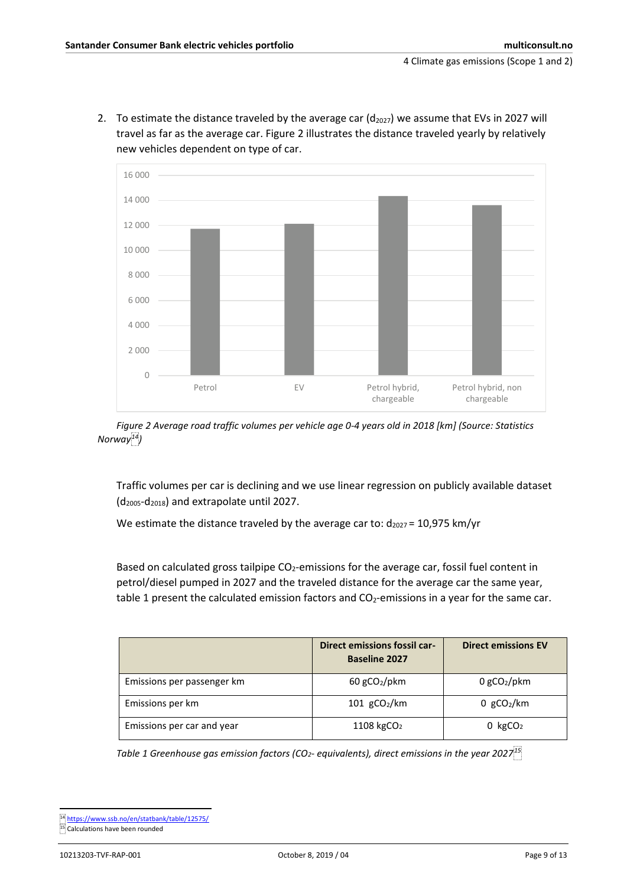2. To estimate the distance traveled by the average car  $(d_{2027})$  we assume that EVs in 2027 will travel as far as the average car. [Figure 2](#page-8-0) illustrates the distance traveled yearly by relatively new vehicles dependent on type of car.



<span id="page-8-0"></span>*Figure 2 Average road traffic volumes per vehicle age 0-4 years old in 2018 [km] (Source: Statistics Norway<sup>14</sup>)*

Traffic volumes per car is declining and we use linear regression on publicly available dataset  $(d_{2005}-d_{2018})$  and extrapolate until 2027.

We estimate the distance traveled by the average car to:  $d_{2027}$  = 10,975 km/yr

Based on calculated gross tailpipe  $CO<sub>2</sub>$ -emissions for the average car, fossil fuel content in petrol/diesel pumped in 2027 and the traveled distance for the average car the same year, table 1 present the calculated emission factors and  $CO<sub>2</sub>$ -emissions in a year for the same car.

|                            | Direct emissions fossil car-<br><b>Baseline 2027</b> | <b>Direct emissions EV</b> |
|----------------------------|------------------------------------------------------|----------------------------|
| Emissions per passenger km | $60$ gCO <sub>2</sub> /pkm                           | $0$ gCO <sub>2</sub> /pkm  |
| Emissions per km           | $101$ gCO <sub>2</sub> /km                           | 0 $gCO2/km$                |
| Emissions per car and year | 1108 kgCO <sub>2</sub>                               | $0 \; \text{kgCO}_2$       |

*Table 1 Greenhouse gas emission factors (CO2- equivalents), direct emissions in the year 2027<sup>15</sup>*

**<sup>.</sup>** <sup>14</sup> <https://www.ssb.no/en/statbank/table/12575/>

<sup>15</sup> Calculations have been rounded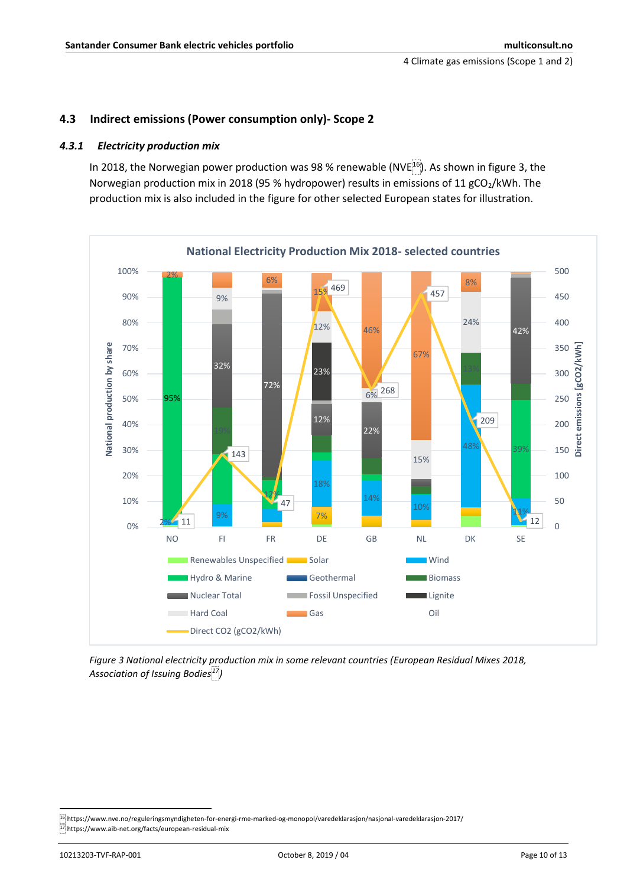#### <span id="page-9-0"></span>**4.3 Indirect emissions (Power consumption only)- Scope 2**

#### <span id="page-9-1"></span>*4.3.1 Electricity production mix*

In 2018, the Norwegian power production was 98 % renewable (NVE $^{16}$ ). As shown in figure 3, the Norwegian production mix in 2018 (95 % hydropower) results in emissions of 11 gCO<sub>2</sub>/kWh. The production mix is also included in the figure for other selected European states for illustration.



*Figure 3 National electricity production mix in some relevant countries (European Residual Mixes 2018, Association of Issuing Bodies<sup>17</sup>)*

**.** 

<sup>16</sup> https://www.nve.no/reguleringsmyndigheten-for-energi-rme-marked-og-monopol/varedeklarasjon/nasjonal-varedeklarasjon-2017/ <sup>17</sup> https://www.aib-net.org/facts/european-residual-mix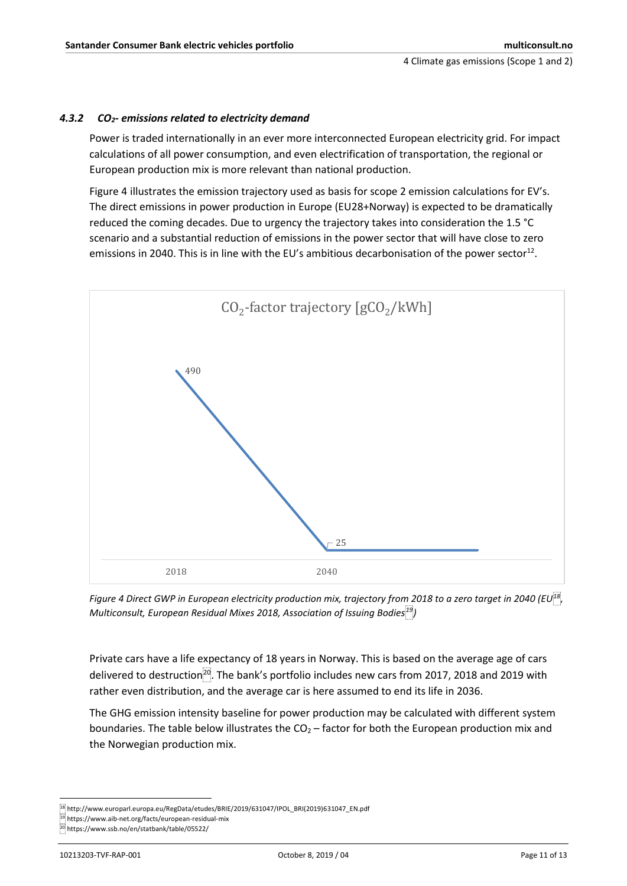#### <span id="page-10-0"></span>*4.3.2 CO2- emissions related to electricity demand*

Power is traded internationally in an ever more interconnected European electricity grid. For impact calculations of all power consumption, and even electrification of transportation, the regional or European production mix is more relevant than national production.

[Figure 4](#page-10-1) illustrates the emission trajectory used as basis for scope 2 emission calculations for EV's. The direct emissions in power production in Europe (EU28+Norway) is expected to be dramatically reduced the coming decades. Due to urgency the trajectory takes into consideration the 1.5 °C scenario and a substantial reduction of emissions in the power sector that will have close to zero emissions in 2040. This is in line with the EU's ambitious decarbonisation of the power sector<sup>12</sup>.



<span id="page-10-1"></span>*Figure 4 Direct GWP in European electricity production mix, trajectory from 2018 to a zero target in 2040 (EU<sup>18</sup> , Multiconsult, European Residual Mixes 2018, Association of Issuing Bodies<sup>19</sup>)*

Private cars have a life expectancy of 18 years in Norway. This is based on the average age of cars delivered to destruction<sup>20</sup>. The bank's portfolio includes new cars from 2017, 2018 and 2019 with rather even distribution, and the average car is here assumed to end its life in 2036.

The GHG emission intensity baseline for power production may be calculated with different system boundaries. The table below illustrates the  $CO<sub>2</sub> -$  factor for both the European production mix and the Norwegian production mix.

<sup>1</sup> <sup>18</sup> http://www.europarl.europa.eu/RegData/etudes/BRIE/2019/631047/IPOL\_BRI(2019)631047\_EN.pdf

<sup>19</sup> https://www.aib-net.org/facts/european-residual-mix

<sup>20</sup> https://www.ssb.no/en/statbank/table/05522/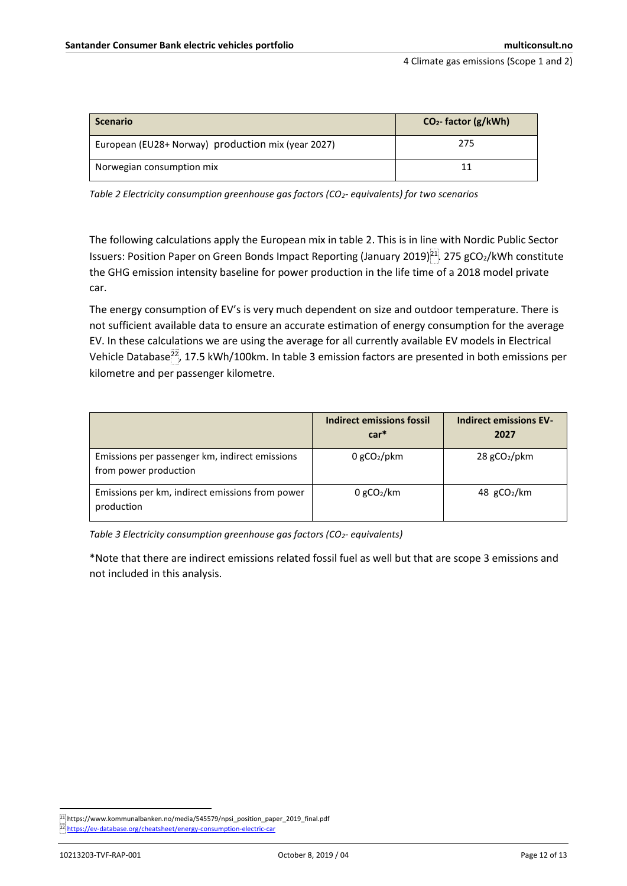| <b>Scenario</b>                                    | $CO2$ - factor (g/kWh) |
|----------------------------------------------------|------------------------|
| European (EU28+ Norway) production mix (year 2027) | 275                    |
| Norwegian consumption mix                          |                        |

*Table 2 Electricity consumption greenhouse gas factors (CO2- equivalents) for two scenarios*

The following calculations apply the European mix in table 2. This is in line with Nordic Public Sector Issuers: Position Paper on Green Bonds Impact Reporting (January 2019)<sup>21</sup>. 275 gCO<sub>2</sub>/kWh constitute the GHG emission intensity baseline for power production in the life time of a 2018 model private car.

The energy consumption of EV's is very much dependent on size and outdoor temperature. There is not sufficient available data to ensure an accurate estimation of energy consumption for the average EV. In these calculations we are using the average for all currently available EV models in Electrical Vehicle Database<sup>22</sup>, 17.5 kWh/100km. In table 3 emission factors are presented in both emissions per kilometre and per passenger kilometre.

|                                                                         | Indirect emissions fossil<br>$car*$ | <b>Indirect emissions EV-</b><br>2027 |
|-------------------------------------------------------------------------|-------------------------------------|---------------------------------------|
| Emissions per passenger km, indirect emissions<br>from power production | $0$ gCO <sub>2</sub> /pkm           | $28$ gCO <sub>2</sub> /pkm            |
| Emissions per km, indirect emissions from power<br>production           | $0$ gCO <sub>2</sub> /km            | 48 $gCO2/km$                          |

*Table 3 Electricity consumption greenhouse gas factors (CO2- equivalents)*

\*Note that there are indirect emissions related fossil fuel as well but that are scope 3 emissions and not included in this analysis.

**.** 

 $^{[21]}$ https://www.kommunalbanken.no/media/545579/npsi\_position\_paper\_2019\_final.pdf

<sup>22</sup> <https://ev-database.org/cheatsheet/energy-consumption-electric-car>